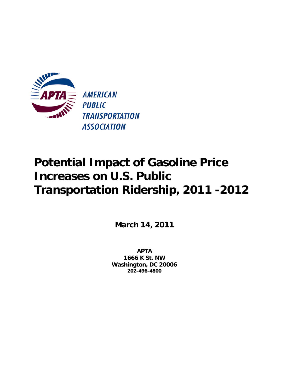

**March 14, 2011** 

**APTA 1666 K St. NW Washington, DC 20006 202-496-4800**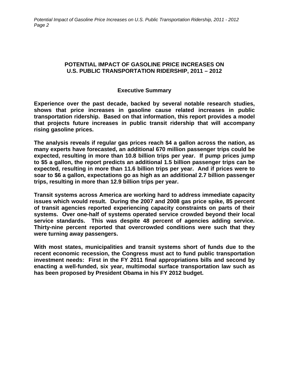# **POTENTIAL IMPACT OF GASOLINE PRICE INCREASES ON U.S. PUBLIC TRANSPORTATION RIDERSHIP, 2011 – 2012**

# **Executive Summary**

**Experience over the past decade, backed by several notable research studies, shows that price increases in gasoline cause related increases in public transportation ridership. Based on that information, this report provides a model that projects future increases in public transit ridership that will accompany rising gasoline prices.** 

**The analysis reveals if regular gas prices reach \$4 a gallon across the nation, as many experts have forecasted, an additional 670 million passenger trips could be expected, resulting in more than 10.8 billion trips per year. If pump prices jump to \$5 a gallon, the report predicts an additional 1.5 billion passenger trips can be expected, resulting in more than 11.6 billion trips per year. And if prices were to soar to \$6 a gallon, expectations go as high as an additional 2.7 billion passenger trips, resulting in more than 12.9 billion trips per year.** 

**Transit systems across America are working hard to address immediate capacity issues which would result. During the 2007 and 2008 gas price spike, 85 percent of transit agencies reported experiencing capacity constraints on parts of their systems. Over one-half of systems operated service crowded beyond their local service standards. This was despite 48 percent of agencies adding service. Thirty-nine percent reported that overcrowded conditions were such that they were turning away passengers.** 

**With most states, municipalities and transit systems short of funds due to the recent economic recession, the Congress must act to fund public transportation investment needs: First in the FY 2011 final appropriations bills and second by enacting a well-funded, six year, multimodal surface transportation law such as has been proposed by President Obama in his FY 2012 budget.**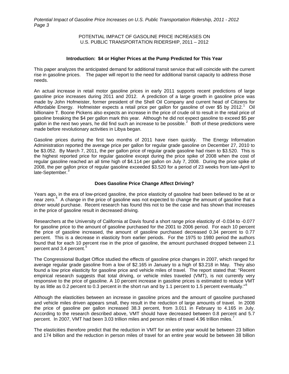### POTENTIAL IMPACT OF GASOLINE PRICE INCREASES ON U.S. PUBLIC TRANSPORTATION RIDERSHIP, 2011 – 2012

#### **Introduction: \$4 or Higher Prices at the Pump Predicted for This Year**

This paper analyzes the anticipated demand for additional transit service that will coincide with the current rise in gasoline prices. The paper will report to the need for additional transit capacity to address those needs.

An actual increase in retail motor gasoline prices in early 2011 supports recent predictions of large gasoline price increases during 2011 and 2012. A prediction of a large growth in gasoline price was made by John Hofmeister, former president of the Shell Oil Company and current head of Citizens for Affordable Energy. Hofmeister expects a retail price per gallon for gasoline of over \$5 by 20[1](#page-8-0)2.<sup>1</sup> Oil billionaire T. Boone Pickens also expects an increase in the price of crude oil to result in the retail price of gasoline breaking the \$4 per gallon mark this year. Although he did not expect gasoline to exceed \$5 per gallon in the next two years, he did find such an increase to be possible.<sup>[2](#page-8-1)</sup> Both of these predictions were made before revolutionary activities in Libya began.

Gasoline prices during the first two months of 2011 have risen quickly. The Energy Information Administration reported the average price per gallon for regular grade gasoline on December 27, 2010 to be \$3.052. By March 7, 2011, the per gallon price of regular grade gasoline had risen to \$3.520. This is the highest reported price for regular gasoline except during the price spike of 2008 when the cost of regular gasoline reached an all time high of \$4.114 per gallon on July 7, 2008. During the price spike of 2008, the per gallon price of regular gasoline exceeded \$3.520 for a period of 23 weeks from late-April to late-September.<sup>[3](#page-8-1)</sup>

## **Does Gasoline Price Change Affect Driving?**

Years ago, in the era of low-priced gasoline, the price elasticity of gasoline had been believed to be at or near zero. $4$  A change in the price of gasoline was not expected to change the amount of gasoline that a driver would purchase. Recent research has found this not to be the case and has shown that increases in the price of gasoline result in decreased driving.

Researchers at the University of California at Davis found a short range price elasticity of -0.034 to -0.077 for gasoline price to the amount of gasoline purchased for the 2001 to 2006 period. For each 10 percent the price of gasoline increased, the amount of gasoline purchased decreased 0.34 percent to 0.77 percent. This is a decrease in elasticity from earlier periods. For the 1975 to 1980 period the authors found that for each 10 percent rise in the price of gasoline, the amount purchased dropped between 2.1 percent and 3.4 percent.<sup>[5](#page-8-1)</sup>

The Congressional Budget Office studied the effects of gasoline price changes in 2007, which ranged for average regular grade gasoline from a low of \$2.165 in January to a high of \$3.218 in May. They also found a low price elasticity for gasoline price and vehicle miles of travel. The report stated that: "Recent empirical research suggests that total driving, or vehicle miles traveled (VMT), is not currently very responsive to the price of gasoline. A 10 percent increase in gasoline prices is estimated to reduce VMT by as little as 0.2 percent to 0.3 percent in the short run and by 1.1 percent to 1.5 percent eventually."<sup>[6](#page-8-1)</sup>

Although the elasticities between an increase in gasoline prices and the amount of gasoline purchased and vehicle miles driven appears small, they result in the reduction of large amounts of travel. In 2008 the price of gasoline per gallon increased 38.3 percent, from 3.011 in February to 4.165 in July. According to the research described above, VMT should have decreased between 0.8 percent and 5.7 percent. In 200[7](#page-8-1), VMT had been 3.03 trillion miles and person miles of travel 4.96 trillion miles.<sup>7</sup>

The elasticities therefore predict that the reduction in VMT for an entire year would be between 23 billion and 174 billion and the reduction in person miles of travel for an entire year would be between 38 billion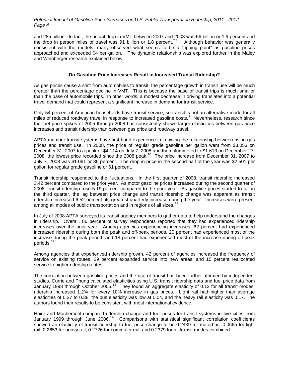and 285 billion. In fact, the actual drop in VMT between 2007 and 2008 was 56 billion or 1.9 percent and the drop in person miles of travel was 91 billion or 1.[8](#page-8-1) percent.<sup>7,8</sup> Although behavior was generally consistent with the models, many observed what seems to be a "tipping point" as gasoline prices approached and exceeded \$4 per gallon. The dynamic relationship was explored further in the Maley and Weinberger research explained below.

#### **Do Gasoline Price Increases Result in Increased Transit Ridership?**

As gas prices cause a shift from automobiles to transit, the percentage growth in transit use will be much greater than the percentage decline in VMT. This is because the base of transit trips is much smaller than the base of automobile trips. In other words, a modest decrease in driving translates into a potential travel demand that could represent a significant increase in demand for transit service.

Only 54 percent of American households have transit service, so transit is not an alternative mode for all miles of reduced roadway travel in response to increased gasoline costs.<sup>[9](#page-8-1)</sup> Nevertheless, research since the fuel price spikes of 2005 through 2008 has consistently shown larger elasticities between gas price increases and transit ridership than between gas price and roadway travel.

APTA-member transit systems have first-hand experience in knowing the relationship between rising gas prices and transit use. In 2008, the price of regular grade gasoline per gallon went from \$3.053 on December 31, 2007 to a peak of \$4.114 on July 7, 2008 and then plummeted to \$1.613 on December 27, 2008; the lowest price recorded since the 2008 peak.<sup>[10](#page-8-1)</sup> The price increase from December 31, 2007 to July 7, 2008 was \$1.061 or 35 percent. The drop in price in the second half of the year was \$2.501 per gallon for regular grade gasoline or 61 percent.

Transit ridership responded to the fluctuations. In the first quarter of 2008, transit ridership increased 3.42 percent compared to the prior year. As motor gasoline prices increased during the second quarter of 2008, transit ridership rose 5.19 percent compared to the prior year. As gasoline prices started to fall in the third quarter, the lag between price change and transit ridership change was apparent as transit ridership increased 6.52 percent, its greatest quarterly increase during the year. Increases were present among all modes of public transportation and in regions of all sizes.<sup>[11](#page-8-1)</sup>

In July of 2008 APTA surveyed its transit agency members to gather data to help understand the changes in ridership. Overall, 86 percent of survey respondents reported that they had experienced ridership increases over the prior year. Among agencies experiencing increases, 62 percent had experienced increased ridership during both the peak and off-peak periods, 20 percent had experienced most of the increase during the peak period, and 18 percent had experienced most of the increase during off-peak periods.<sup>1</sup>

Among agencies that experienced ridership growth, 42 percent of agencies increased the frequency of service on existing routes, 29 percent expanded service into new areas, and 15 percent reallocated service to higher ridership routes.

The correlation between gasoline prices and the use of transit has been further affirmed by independent studies. Currie and Phung calculated elasticities using U.S. transit ridership data and fuel price data from January 1998 through October 2005.[13](#page-8-1) They found an aggregate elasticity of 0.12 for all transit modes; ridership increased 1.2% for every 10% increase in gas prices. Light rail had higher than average elasticities of 0.27 to 0.38, the bus elasticity was low at 0.04, and the heavy rail elasticity was 0.17. The authors found their results to be consistent with most international evidence.

Haire and Machemehl compared ridership change and fuel prices for transit systems in five cities from January 1999 through June 2006.<sup>[14](#page-8-1)</sup> Comparisons with statistical significant correlation coefficients showed an elasticity of transit ridership to fuel price change to be 0.2439 for motorbus, 0.0665 for light rail, 0.2653 for heavy rail, 0.2726 for commuter rail, and 0.2379 for all transit modes combined.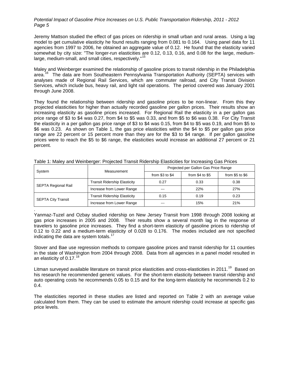Jeremy Mattson studied the effect of gas prices on ridership in small urban and rural areas. Using a lag model to get cumulative elasticity he found results ranging from 0.081 to 0.164. Using panel data for 11 agencies from 1997 to 2006, he obtained an aggregate value of 0.12. He found that the elasticity varied somewhat by city size: "The longer-run elasticities are 0.12, 0.13, 0.16, and 0.08 for the large, medium-large, medium-small, and small cities, respectively."<sup>[15](#page-9-0)</sup>

Maley and Weinberger examined the relationship of gasoline prices to transit ridership in the Philadelphia area.<sup>[16](#page-9-0)</sup> The data are from Southeastern Pennsylvania Transportation Authority (SEPTA) services with analyses made of Regional Rail Services, which are commuter railroad, and City Transit Division Services, which include bus, heavy rail, and light rail operations. The period covered was January 2001 through June 2008.

They found the relationship between ridership and gasoline prices to be non-linear. From this they projected elasticities for higher than actually recorded gasoline per gallon prices. Their results show an increasing elasticity as gasoline prices increased. For Regional Rail the elasticity in a per gallon gas price range of \$3 to \$4 was 0.27, from \$4 to \$5 was 0.33, and from \$5 to \$6 was 0.38. For City Transit the elasticity in a per gallon gas price range of \$3 to \$4 was 0.15, from \$4 to \$5 was 0.19, and from \$5 to \$6 was 0.23. As shown on Table 1, the gas price elasticities within the \$4 to \$5 per gallon gas price range are 22 percent or 15 percent more than they are for the \$3 to \$4 range. If per gallon gasoline prices were to reach the \$5 to \$6 range, the elasticities would increase an additional 27 percent or 21 percent.

| System                    | Measurement                  | Projected per Gallon Gas Price Range |                   |                   |  |
|---------------------------|------------------------------|--------------------------------------|-------------------|-------------------|--|
|                           |                              | from $$3$ to $$4$                    | from $$4$ to $$5$ | from $$5$ to $$6$ |  |
| SEPTA Regional Rail       | Transit Ridership Elasticity | 0.27                                 | 0.33              | 0.38              |  |
|                           | Increase from Lower Range    | ---                                  | 22%               | 27%               |  |
| <b>SEPTA City Transit</b> | Transit Ridership Elasticity | 0.15                                 | 0.19              | 0.23              |  |
|                           | Increase from Lower Range    | ---                                  | 15%               | 21%               |  |

Table 1: Maley and Weinberger: Projected Transit Ridership Elasticities for Increasing Gas Prices

.

Yanmaz-Tuzel and Ozbay studied ridership on New Jersey Transit from 1998 through 2008 looking at gas price increases in 2005 and 2008. Their results show a several month lag in the response of travelers to gasoline price increases. They find a short-term elasticity of gasoline prices to ridership of 0.12 to 0.22 and a medium-term elasticity of 0.028 to 0.176. The modes included are not specified indicating the data are system totals. $<sup>1</sup>$ </sup>

Stover and Bae use regression methods to compare gasoline prices and transit ridership for 11 counties in the state of Washington from 2004 through 2008. Data from all agencies in a panel model resulted in an elasticity of  $0.17$ .<sup>[18](#page-9-0)</sup>

Litman surveyed available literature on transit price elasticities and cross-elasticities in 2011.<sup>[19](#page-9-0)</sup> Based on his research he recommended generic values. For the short-term elasticity between transit ridership and auto operating costs he recommends 0.05 to 0.15 and for the long-term elasticity he recommends 0.2 to 0.4.

The elasticities reported in these studies are listed and reported on Table 2 with an average value calculated from them. They can be used to estimate the amount ridership could increase at specific gas price levels.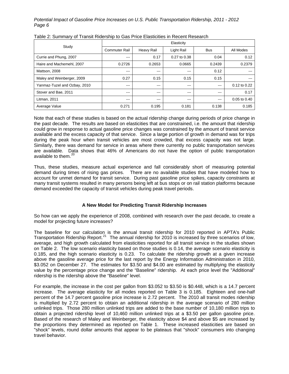|                              | Elasticity    |            |              |            |                  |
|------------------------------|---------------|------------|--------------|------------|------------------|
| Study                        | Commuter Rail | Heavy Rail | Light Rail   | <b>Bus</b> | All Modes        |
| Currie and Phung, 2007       | $- - -$       | 0.17       | 0.27 to 0.38 | 0.04       | 0.12             |
| Haire and Machemehl, 2007    | 0.2726        | 0.2653     | 0.0665       | 0.2439     | 0.2379           |
| Mattson, 2008                | ---           | $-- -$     | $-- -$       | 0.12       |                  |
| Maley and Weinberger, 2009   | 0.27          | 0.15       | 0.15         | 0.15       |                  |
| Yanmaz-Tuzel and Ozbay, 2010 | ---           | $-- -$     | $- - -$      | $--$       | 0.12 to 0.22     |
| Stover and Bae, 2011         | ---           | ---        | $- - -$      | $--$       | 0.17             |
| Litman, 2011                 | ---           | $-- -$     | $- - -$      | $- - -$    | $0.05$ to $0.40$ |
| Average Value                | 0.271         | 0.195      | 0.181        | 0.138      | 0.185            |

## Table 2: Summary of Transit Ridership to Gas Price Elasticities in Recent Research

Note that each of these studies is based on the actual ridership change during periods of price change in the past decade. The results are based on elasticities that are constrained, i.e. the amount that ridership could grow in response to actual gasoline price changes was constrained by the amount of transit service available and the excess capacity of that service. Since a large portion of growth in demand was for trips during the peak hour when transit vehicles are most crowded, that excess capacity was not large. Similarly, there was demand for service in areas where there currently no public transportation services are available. Data shows that 46% of Americans do not have the option of public transportation available to them.<sup>[20](#page-9-0)</sup>

Thus, these studies, measure actual experience and fall considerably short of measuring potential demand during times of rising gas prices. There are no available studies that have modeled how to account for unmet demand for transit service. During past gasoline price spikes, capacity constraints at many transit systems resulted in many persons being left at bus stops or on rail station platforms because demand exceeded the capacity of transit vehicles during peak travel periods.

# **A New Model for Predicting Transit Ridership Increases**

So how can we apply the experience of 2008, combined with research over the past decade, to create a model for projecting future increases?

The baseline for our calculation is the annual transit ridership for 2010 reported in APTA's Public Transportation Ridership Report.<sup>[21](#page-9-0)</sup> The annual ridership for 2010 is increased by three scenarios of low, average, and high growth calculated from elasticities reported for all transit service in the studies shown on Table 2. The low scenario elasticity based on those studies is 0.14, the average scenario elasticity is 0.185, and the high scenario elasticity is 0.23. To calculate the ridership growth at a given increase above the gasoline average price for the last report by the Energy Information Administration in 2010, \$3.052 on December 27. The estimates for \$3.50 and \$4.00 are estimated by multiplying the elasticity value by the percentage price change and the "Baseline" ridership. At each price level the "Additional" ridership is the ridership above the "Baseline" level.

For example, the increase in the cost per gallon from \$3.052 to \$3.50 is \$0.448, which is a 14.7 percent increase. The average elasticity for all modes reported on Table 3 is 0.185. Eighteen and one-half percent of the 14.7 percent gasoline price increase is 2.72 percent. The 2010 all transit modes ridership is multiplied by 2.72 percent to obtain an additional ridership in the average scenario of 280 million unlinked trips. Those 280 million unlinked trips are added to the base number of 10,180 million trips to obtain a projected ridership level of 10,460 million unlinked trips at a \$3.50 per gallon gasoline price. Based of the research of Maley and Weinberger, the elasticity above \$4 and above \$5 are increased by the proportions they determined as reported on Table 1. These increased elasticities are based on "shock" levels, round dollar amounts that appear to be plateaus that "shock" consumers into changing travel behavior.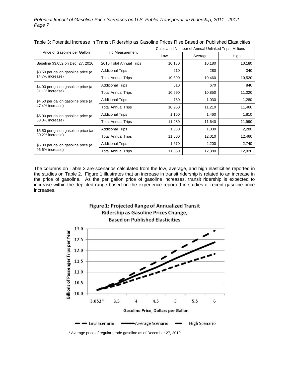|                                                         | <b>Trip Measurement</b>   | rapic of Fotomial increase in Transit Nacrollip as Oasoline Frices Nise Dascu on Fabilished Elasticities<br>Calculated Number of Annual Unlinked Trips, Millions |         |        |  |
|---------------------------------------------------------|---------------------------|------------------------------------------------------------------------------------------------------------------------------------------------------------------|---------|--------|--|
| Price of Gasoline per Gallon                            |                           | Low                                                                                                                                                              | Average | High   |  |
| Baseline \$3.052 on Dec. 27, 2010                       | 2010 Total Annual Trips   | 10,180                                                                                                                                                           | 10,180  | 10,180 |  |
| \$3.50 per gallon gasoline price (a<br>14.7% increase)  | <b>Additional Trips</b>   | 210                                                                                                                                                              | 280     | 340    |  |
|                                                         | <b>Total Annual Trips</b> | 10,390                                                                                                                                                           | 10,460  | 10,520 |  |
| \$4.00 per gallon gasoline price (a<br>31.1% increase)  | <b>Additional Trips</b>   | 510                                                                                                                                                              | 670     | 840    |  |
|                                                         | Total Annual Trips        | 10,690                                                                                                                                                           | 10,850  | 11,020 |  |
| \$4.50 per gallon gasoline price (a<br>47.4% increase)  | <b>Additional Trips</b>   | 780                                                                                                                                                              | 1,030   | 1,280  |  |
|                                                         | <b>Total Annual Trips</b> | 10,960                                                                                                                                                           | 11,210  | 11,460 |  |
| \$5.00 per gallon gasoline price (a<br>63.3% increase)  | <b>Additional Trips</b>   | 1,100                                                                                                                                                            | 1,460   | 1,810  |  |
|                                                         | Total Annual Trips        | 11,280                                                                                                                                                           | 11,640  | 11,990 |  |
| \$5.50 per gallon gasoline price (an<br>80.2% increase) | <b>Additional Trips</b>   | 1,380                                                                                                                                                            | 1,830   | 2,280  |  |
|                                                         | <b>Total Annual Trips</b> | 11,560                                                                                                                                                           | 12,010  | 12,460 |  |
| \$6.00 per gallon gasoline price (a<br>96.6% increase)  | <b>Additional Trips</b>   | 1,670                                                                                                                                                            | 2,200   | 2,740  |  |
|                                                         | Total Annual Trips        | 11,850                                                                                                                                                           | 12,380  | 12,920 |  |

|  | Table 3: Potential Increase in Transit Ridership as Gasoline Prices Rise Based on Published Elasticities |
|--|----------------------------------------------------------------------------------------------------------|
|--|----------------------------------------------------------------------------------------------------------|

The columns on Table 3 are scenarios calculated from the low, average, and high elasticities reported in the studies on Table 2. Figure 1 illustrates that an increase in transit ridership is related to an increase in the price of gasoline. As the per gallon price of gasoline increases, transit ridership is expected to increase within the depicted range based on the experience reported in studies of recent gasoline price increases.



\* Average price of regular grade gasoline as of December 27, 2010.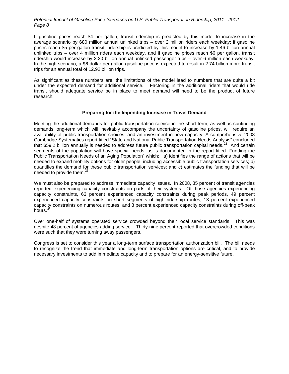If gasoline prices reach \$4 per gallon, transit ridership is predicted by this model to increase in the average scenario by 680 million annual unlinked trips – over 2 million riders each weekday; if gasoline prices reach \$5 per gallon transit, ridership is predicted by this model to increase by 1.46 billion annual unlinked trips – over 4 million riders each weekday, and if gasoline prices reach \$6 per gallon, transit ridership would increase by 2.20 billion annual unlinked passenger trips – over 6 million each weekday. In the high scenario, a \$6 dollar per gallon gasoline price is expected to result in 2.74 billion more transit trips for an annual total of 12.92 billion trips.

As significant as these numbers are, the limitations of the model lead to numbers that are quite a bit under the expected demand for additional service. Factoring in the additional riders that would ride transit should adequate service be in place to meet demand will need to be the product of future research.

#### **Preparing for the Impending Increase in Travel Demand**

Meeting the additional demands for public transportation service in the short term, as well as continuing demands long-term which will inevitably accompany the uncertainty of gasoline prices, will require an availability of public transportation choices, and an investment in new capacity. A comprehensive 2008 Cambridge Systematics report titled "State and National Public Transportation Needs Analysis" concluded that \$59.2 billion annually is needed to address future public transportation capital needs.<sup>[22](#page-9-0)</sup> And certain segments of the population will have special needs, as is documented in the report titled "Funding the Public Transportation Needs of an Aging Population" which: a) identifies the range of actions that will be needed to expand mobility options for older people, including accessible public transportation services; b) quantifies the demand for these public transportation services; and c) estimates the funding that will be needed to provide them.<sup>[23](#page-9-0)</sup>

We must also be prepared to address immediate capacity issues. In 2008, 85 percent of transit agencies reported experiencing capacity constraints on parts of their systems. Of those agencies experiencing capacity constraints, 63 percent experienced capacity constraints during peak periods, 49 percent experienced capacity constraints on short segments of high ridership routes, 13 percent experienced capacity constraints on numerous routes, and 8 percent experienced capacity constraints during off-peak hours.<sup>2</sup>

Over one-half of systems operated service crowded beyond their local service standards. This was despite 48 percent of agencies adding service. Thirty-nine percent reported that overcrowded conditions were such that they were turning away passengers.

Congress is set to consider this year a long-term surface transportation authorization bill. The bill needs to recognize the trend that immediate and long-term transportation options are critical, and to provide necessary investments to add immediate capacity and to prepare for an energy-sensitive future.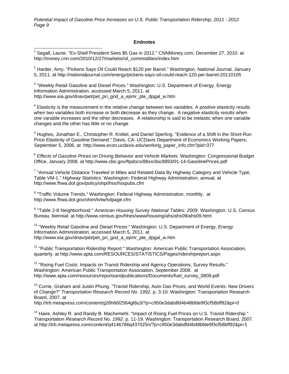#### **Endnotes**

<span id="page-8-1"></span><span id="page-8-0"></span>\_\_\_\_\_\_\_\_\_\_\_\_\_\_\_\_\_\_\_\_\_\_\_\_\_\_\_\_\_\_\_\_\_\_\_<br><sup>1</sup> Segall, Laurie. "Ex-Shell President Sees \$5 Gas in 2012." CNNMoney.com, December 27, 2010. at [http://money.cnn.com/2010/12/27/markets/oil\\_commodities/index.htm](http://money.cnn.com/2010/12/27/markets/oil_commodities/index.htm)

 $^{2}$  Harder, Amy. "Pickens Says Oil Could Reach \$120 per Barrel." Washington, National Journal, January 5, 2011. at<http://nationaljournal.com/energy/pickens-says-oil-could-reach-120-per-barrel-20110105>

<sup>3</sup> "Weekly Retail Gasoline and Diesel Prices." Washington: U.S. Department of Energy, Energy Information Administration, accessed March 5, 2011. at http://www.eia.gov/dnav/pet/pet\_pri\_gnd\_a\_epmr\_pte\_dpgal\_w.htm

 $4$  Elasticity is the measurement in the relative change between two variables. A positive elasticity results when two variables both increase or both decrease as they change. A negative elasticity results when one variable increases and the other decreases. A relationship is said to be inelastic when one variable changes and the other has little or no change

<sup>5</sup> Hughes, Jonathan E., Christopher R. Knittel, and Daniel Sperling. "Evidence of a Shift in the Short-Run Price Elasticity of Gasoline Demand." Davis, CA: UCDavis Department of Economics Working Papers, September 5, 2006. at [http://www.econ.ucdavis.edu/working\\_paper\\_info.cfm?pid=377](http://www.econ.ucdavis.edu/working_paper_info.cfm?pid=377)

<sup>6</sup> *Effects of Gasoline Prices on Driving Behavior and Vehicle Markets.* Washington: Congressional Budget Office, January 2008. at <http://www.cbo.gov/ftpdocs/88xx/doc8893/01-14-GasolinePrices.pdf>

<sup>7</sup> "Annual Vehicle Distance Traveled in Miles and Related Data By Highway Category and Vehicle Type, Table VM-1." *Highway Statistics.* Washington: Federal Highway Administration, annual. at <http://www.fhwa.dot.gov/policy/ohpi/hss/hsspubs.cfm>

<sup>8</sup> "Traffic Volume Trends." Washington: Federal Highway Administration, monthly. at <http://www.fhwa.dot.gov/ohim/tvtw/tvtpage.cfm>

<sup>9</sup> "Table 2-8 Neighborhood." American Housing Survey National Tables: 2009. Washington: U.S. Census Bureau, biennial. at <http://www.census.gov/hhes/www/housing/ahs/ahs09/ahs09.html>

 $10$  "Weekly Retail Gasoline and Diesel Prices." Washington: U.S. Department of Energy, Energy Information Administration, accessed March 5, 2011. at [http://www.eia.gov/dnav/pet/pet\\_pri\\_gnd\\_a\\_epmr\\_pte\\_dpgal\\_w.htm](http://www.eia.gov/dnav/pet/pet_pri_gnd_a_epmr_pte_dpgal_w.htm)

<sup>11</sup> "Public Transportation Ridership Report." Washington: American Public Transportation Association, quarterly. at <http://www.apta.com/RESOURCES/STATISTICS/Pages/ridershipreport.aspx>

<sup>12</sup> "Rising Fuel Costs: Impacts on Transit Ridership and Agency Operations, Survey Results." Washington: American Public Transportation Association, September 2008. at http://www.apta.com/resources/reportsandpublications/Documents/fuel\_survey\_0809.pdf

<sup>13</sup> Currie, Graham and Justin Phung. "Transit Ridership, Auto Gas Prices, and World Events: New Drivers of Change?" *Transportation Research Record No. 1992*. p. 3-10. Washington: Transportation Research Board, 2007. at

<http://trb.metapress.com/content/g26h66l2564gt8u3/?p=c950e3dabdfd4b48bfde9f3cf58bff92&pi=0>

<sup>14</sup> Haire, Ashley R. and Randy B. Machemehl. "Impact of Rising Fuel Prices on U.S. Transit Ridership." *Transportation Research Record No. 1992*. p. 11-19. Washington: Transportation Research Board, 2007. at<http://trb.metapress.com/content/q4146786q437025n/?p=c950e3dabdfd4b48bfde9f3cf58bff92&pi=1>